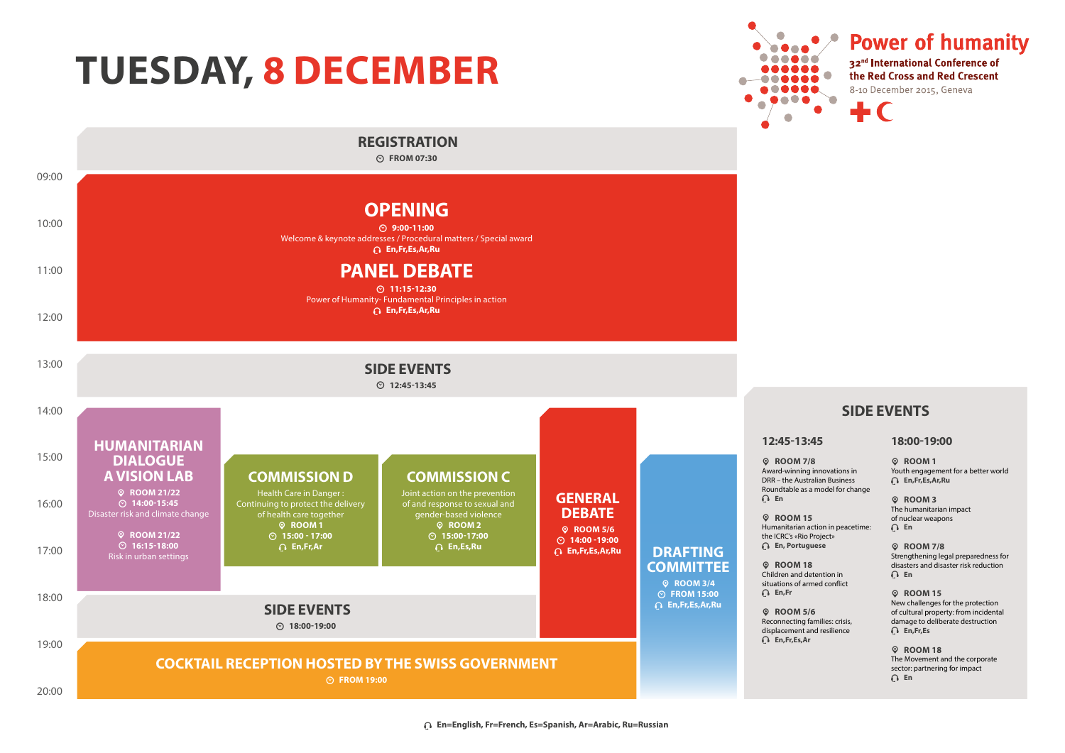## **TUESDAY, 8 DECEMBER**



**Power of humanity AAAAA** 32<sup>nd</sup> International Conference of the Red Cross and Red Crescent 8-10 December 2015, Geneva a 6 **6 6 6 6**  $\bullet$   $\bullet$ 

#### **SIDE EVENTS**

#### **12:45-13:45**

ӎ **ROOM 7/8** Award-winning innovations in DRR – the Australian Business Roundtable as a model for change

ӎ **ROOM 15** Humanitarian action in peacetime: the ICRC's «Rio Project» ю **En, Portuguese**

ӎ **ROOM 18** Children and detention in situations of armed conflict ю **En,Fr**

ӎ **ROOM 5/6** Reconnecting families: crisis, displacement and resilience ю **En,Fr,Es,Ar**

**18:00-19:00**

ӎ **ROOM 1** Youth engagement for a better world ю **En,Fr,Es,Ar,Ru**

ӎ **ROOM 3** The humanitarian impact of nuclear weapons ю **En**

ӎ **ROOM 7/8** Strengthening legal preparedness for disasters and disaster risk reduction ю **En**

ӎ **ROOM 15** New challenges for the protection of cultural property: from incidental damage to deliberate destruction ю **En,Fr,Es**

ӎ **ROOM 18** The Movement and the corporate sector: partnering for impact ю **En**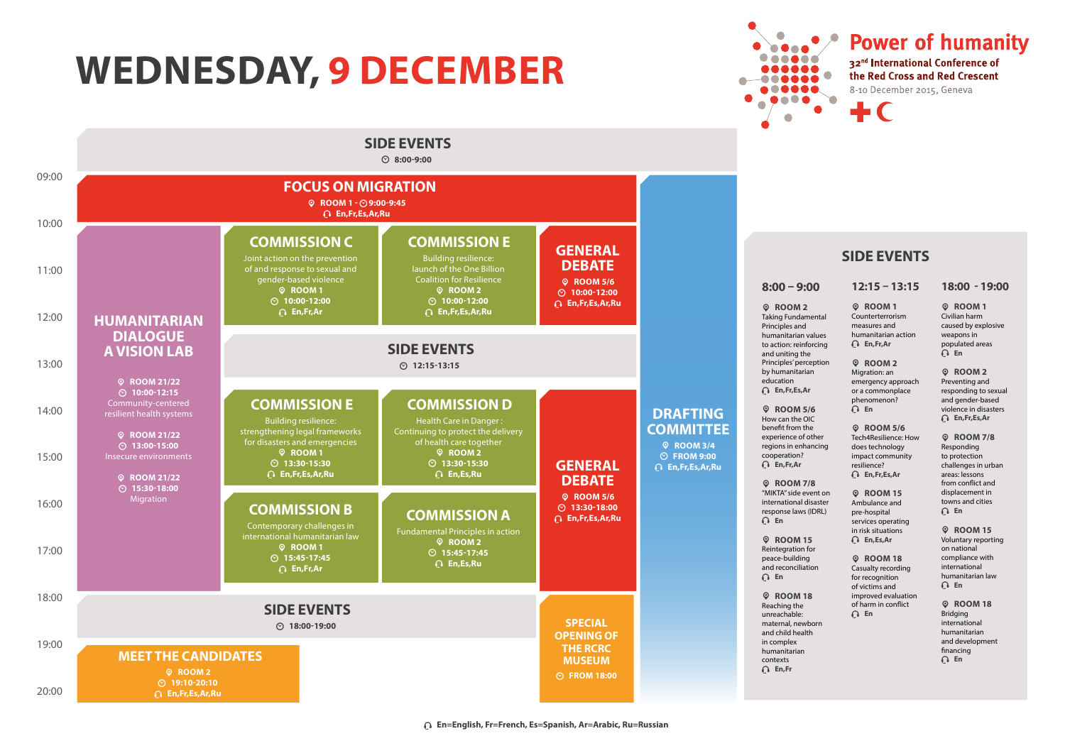## **WEDNESDAY, 9 DECEMBER**





#### **SIDE EVENTS**

**12:15 – 13:15** ӎ **ROOM 1** Counterterrorism measures and humanitarian action ю **En,Fr,Ar** ӎ **ROOM 2** Migration: an emergency approach

or a commonplace phenomenon? ю **En** ӎ **ROOM 5/6** Tech4Resilience: How does technology impact community resilience? ю **En,Fr,Es,Ar** ӎ **ROOM 15** Ambulance and pre-hospital services operating in risk situations ю **En,Es,Ar** ӎ **ROOM 18** Casualty recording for recognition of victims and improved evaluation of harm in conflict ю **En**

ӎ **ROOM 2** Preventing and responding to sexual and gender-based violence in disasters ю **En,Fr,Es,Ar**

**18:00 - 19:00**  ӎ **ROOM 1** Civilian harm caused by explosive weapons in populated areas ю **En**

ӎ **ROOM 7/8** Responding to protection challenges in urban areas: lessons from conflict and displacement in towns and cities ю **En** ӎ **ROOM 15** Voluntary reporting

on national compliance with international humanitarian law ю **En**

ӎ **ROOM 18** Bridging international humanitarian and development financing ю **En**